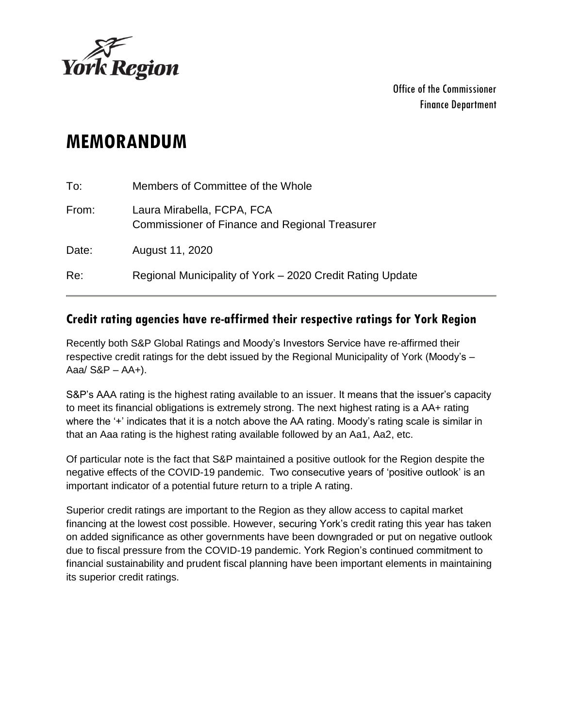

Office of the Commissioner Finance Department

# **MEMORANDUM**

| To:   | Members of Committee of the Whole                                                   |
|-------|-------------------------------------------------------------------------------------|
| From: | Laura Mirabella, FCPA, FCA<br><b>Commissioner of Finance and Regional Treasurer</b> |
| Date: | August 11, 2020                                                                     |
| Re:   | Regional Municipality of York - 2020 Credit Rating Update                           |

#### **Credit rating agencies have re-affirmed their respective ratings for York Region**

Recently both S&P Global Ratings and Moody's Investors Service have re-affirmed their respective credit ratings for the debt issued by the Regional Municipality of York (Moody's – Aaa $/$  S&P – AA $+$ ).

S&P's AAA rating is the highest rating available to an issuer. It means that the issuer's capacity to meet its financial obligations is extremely strong. The next highest rating is a AA+ rating where the '+' indicates that it is a notch above the AA rating. Moody's rating scale is similar in that an Aaa rating is the highest rating available followed by an Aa1, Aa2, etc.

Of particular note is the fact that S&P maintained a positive outlook for the Region despite the negative effects of the COVID-19 pandemic. Two consecutive years of 'positive outlook' is an important indicator of a potential future return to a triple A rating.

Superior credit ratings are important to the Region as they allow access to capital market financing at the lowest cost possible. However, securing York's credit rating this year has taken on added significance as other governments have been downgraded or put on negative outlook due to fiscal pressure from the COVID-19 pandemic. York Region's continued commitment to financial sustainability and prudent fiscal planning have been important elements in maintaining its superior credit ratings.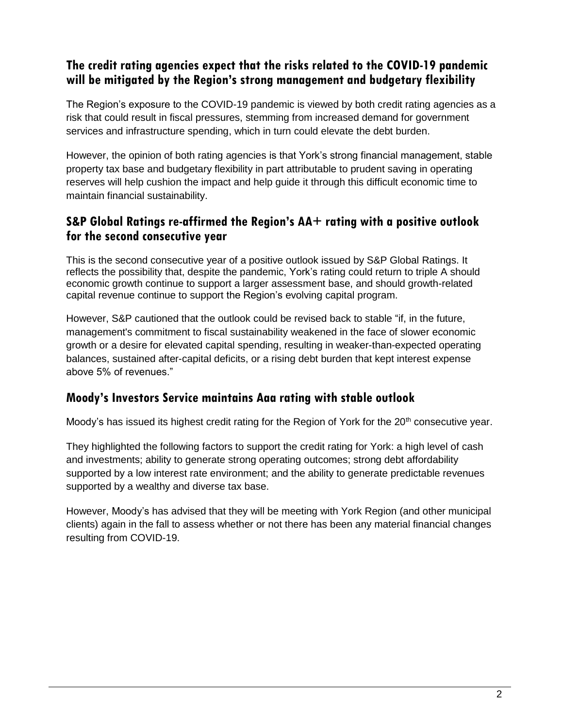## **The credit rating agencies expect that the risks related to the COVID-19 pandemic will be mitigated by the Region's strong management and budgetary flexibility**

The Region's exposure to the COVID-19 pandemic is viewed by both credit rating agencies as a risk that could result in fiscal pressures, stemming from increased demand for government services and infrastructure spending, which in turn could elevate the debt burden.

However, the opinion of both rating agencies is that York's strong financial management, stable property tax base and budgetary flexibility in part attributable to prudent saving in operating reserves will help cushion the impact and help guide it through this difficult economic time to maintain financial sustainability.

## **S&P Global Ratings re-affirmed the Region's AA+ rating with a positive outlook for the second consecutive year**

This is the second consecutive year of a positive outlook issued by S&P Global Ratings. It reflects the possibility that, despite the pandemic, York's rating could return to triple A should economic growth continue to support a larger assessment base, and should growth-related capital revenue continue to support the Region's evolving capital program.

However, S&P cautioned that the outlook could be revised back to stable "if, in the future, management's commitment to fiscal sustainability weakened in the face of slower economic growth or a desire for elevated capital spending, resulting in weaker-than-expected operating balances, sustained after-capital deficits, or a rising debt burden that kept interest expense above 5% of revenues."

## **Moody's Investors Service maintains Aaa rating with stable outlook**

Moody's has issued its highest credit rating for the Region of York for the  $20<sup>th</sup>$  consecutive year.

They highlighted the following factors to support the credit rating for York: a high level of cash and investments; ability to generate strong operating outcomes; strong debt affordability supported by a low interest rate environment; and the ability to generate predictable revenues supported by a wealthy and diverse tax base.

However, Moody's has advised that they will be meeting with York Region (and other municipal clients) again in the fall to assess whether or not there has been any material financial changes resulting from COVID-19.